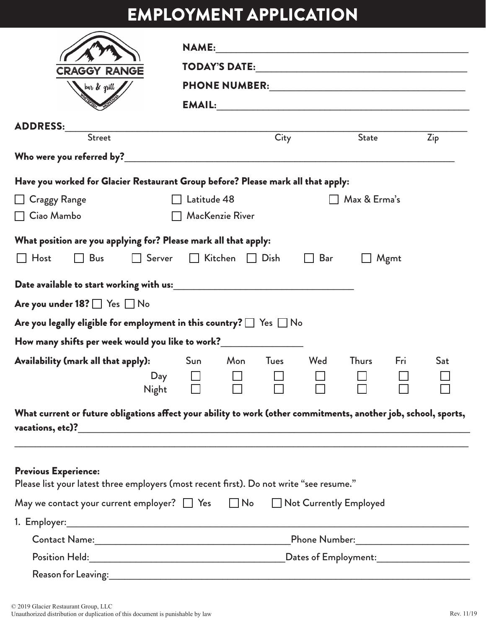## EMPLOYMENT APPLICATION

|                                                                                                                 | <b>NAME:</b> |                             |             |              |              |      |     |  |  |
|-----------------------------------------------------------------------------------------------------------------|--------------|-----------------------------|-------------|--------------|--------------|------|-----|--|--|
| <b>CRAGGY RANGE</b>                                                                                             |              |                             |             |              |              |      |     |  |  |
| bar & grill                                                                                                     |              |                             |             |              |              |      |     |  |  |
|                                                                                                                 |              |                             |             |              |              |      |     |  |  |
| <b>ADDRESS:</b>                                                                                                 | <b>City</b>  |                             |             |              |              |      |     |  |  |
| <b>Street</b>                                                                                                   |              |                             |             |              | <b>State</b> |      | Zip |  |  |
|                                                                                                                 |              |                             |             |              |              |      |     |  |  |
| Have you worked for Glacier Restaurant Group before? Please mark all that apply:                                |              |                             |             |              |              |      |     |  |  |
| <b>Craggy Range</b>                                                                                             |              | Latitude 48                 |             | $\mathbf{I}$ | Max & Erma's |      |     |  |  |
| Ciao Mambo                                                                                                      |              | MacKenzie River             |             |              |              |      |     |  |  |
| What position are you applying for? Please mark all that apply:                                                 |              |                             |             |              |              |      |     |  |  |
| Host<br><b>Bus</b><br>$\Box$ Server                                                                             |              | $\Box$ Kitchen $\Box$ Dish  |             | Bar          |              | Mgmt |     |  |  |
|                                                                                                                 |              |                             |             |              |              |      |     |  |  |
|                                                                                                                 |              |                             |             |              |              |      |     |  |  |
| Are you under $18?$ $\Box$ Yes $\Box$ No                                                                        |              |                             |             |              |              |      |     |  |  |
| Are you legally eligible for employment in this country? $\Box$ Yes $\Box$ No                                   |              |                             |             |              |              |      |     |  |  |
| How many shifts per week would you like to work?__________________                                              |              |                             |             |              |              |      |     |  |  |
| Availability (mark all that apply):                                                                             | Sun          | Mon                         | <b>Tues</b> | Wed          | <b>Thurs</b> | Fri  | Sat |  |  |
| Day                                                                                                             |              |                             |             |              |              |      |     |  |  |
|                                                                                                                 | Night $\Box$ | $\mathcal{L} = \mathcal{L}$ | $\Box$      |              |              |      | ட   |  |  |
| What current or future obligations affect your ability to work (other commitments, another job, school, sports, |              |                             |             |              |              |      |     |  |  |
|                                                                                                                 |              |                             |             |              |              |      |     |  |  |
|                                                                                                                 |              |                             |             |              |              |      |     |  |  |
| <b>Previous Experience:</b>                                                                                     |              |                             |             |              |              |      |     |  |  |
| Please list your latest three employers (most recent first). Do not write "see resume."                         |              |                             |             |              |              |      |     |  |  |
| May we contact your current employer? $\Box$ Yes $\Box$ No $\Box$ Not Currently Employed                        |              |                             |             |              |              |      |     |  |  |
|                                                                                                                 |              |                             |             |              |              |      |     |  |  |
|                                                                                                                 |              |                             |             |              |              |      |     |  |  |
|                                                                                                                 |              |                             |             |              |              |      |     |  |  |
|                                                                                                                 |              |                             |             |              |              |      |     |  |  |